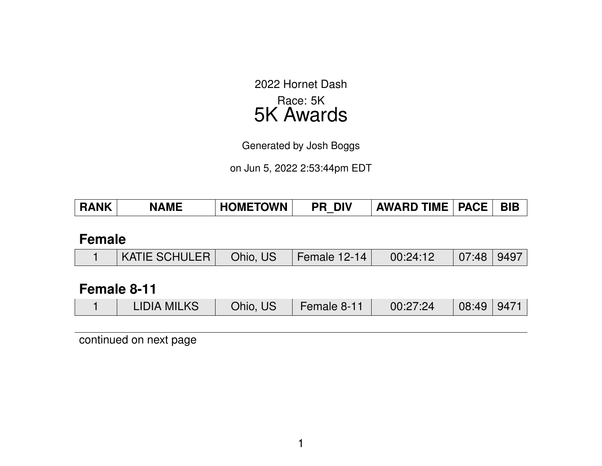2022 Hornet Dash Race: 5K 5K Awards

Generated by Josh Boggs

on Jun 5, 2022 2:53:44pm EDT

| <b>RANK</b> | <b>NAME</b> | <b>HOMETOWN</b> | <b>PR DIV</b> | $\mid$ AWARD TIME $\mid$ PACE $\mid$ | . BIB |
|-------------|-------------|-----------------|---------------|--------------------------------------|-------|
|             |             |                 |               |                                      |       |

### **Female**

|  | $\vert$ KATIE SCHULER $\vert$ Ohio, US $\vert$ Female 12-14 $\vert$ |  |  | $\begin{array}{ c c c c c c } \hline \quad & {\rm 00:24:12} & {\rm \quad 07:48 & 9497} \ \hline \end{array}$ |  |  |
|--|---------------------------------------------------------------------|--|--|--------------------------------------------------------------------------------------------------------------|--|--|
|--|---------------------------------------------------------------------|--|--|--------------------------------------------------------------------------------------------------------------|--|--|

# **Female 8-11**

|  | <b>LIDIA MILKS</b> | Ohio, US | Female 8-11 | 00:27:24 | 08:49   9471 |  |
|--|--------------------|----------|-------------|----------|--------------|--|
|--|--------------------|----------|-------------|----------|--------------|--|

continued on next page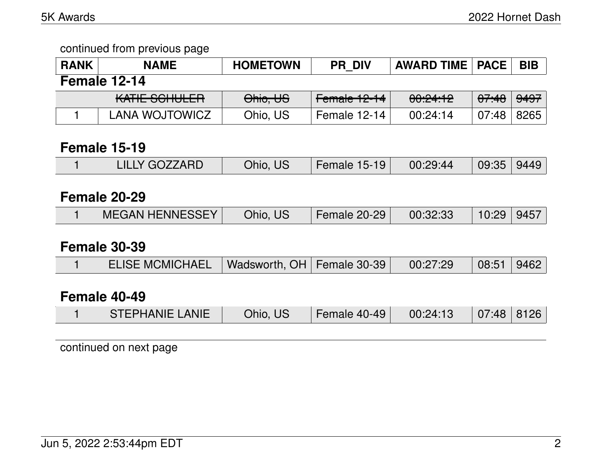#### continued from previous page

| <b>RANK</b>  | <b>NAME</b>           | <b>HOMETOWN</b> | <b>PR DIV</b> | <b>AWARD TIME   PACE</b> |                  | <b>BIB</b>      |  |  |  |
|--------------|-----------------------|-----------------|---------------|--------------------------|------------------|-----------------|--|--|--|
| Female 12-14 |                       |                 |               |                          |                  |                 |  |  |  |
|              | KATIE SCHULER         | Ohio, US        | Female 12-14  | 00:24:12                 | <del>07:48</del> | <del>9497</del> |  |  |  |
|              | <b>LANA WOJTOWICZ</b> | Ohio, US        | Female 12-14  | 00:24:14                 | 07:48            | 8265            |  |  |  |

### **Female 15-19**

|  | <b>LILLY GOZZARD</b> | Ohio, US. | Female $15-19$ | 00:29:44 | 09:35   9449 |  |
|--|----------------------|-----------|----------------|----------|--------------|--|
|--|----------------------|-----------|----------------|----------|--------------|--|

# **Female 20-29**

|  | <b>MEGAN HENNESSEY</b> | Ohio, US | Female 20-29 | 00:32:33 | 10:29   9457 |  |
|--|------------------------|----------|--------------|----------|--------------|--|
|--|------------------------|----------|--------------|----------|--------------|--|

### **Female 30-39**

|  | ELISE MCMICHAEL   Wadsworth, OH   Female 30-39 |  |  | 00:27:29 | $\vert$ 08:51 9462 |  |
|--|------------------------------------------------|--|--|----------|--------------------|--|
|--|------------------------------------------------|--|--|----------|--------------------|--|

# **Female 40-49**

|  | <b>STEPHANIE LANIE</b> | Ohio, US | Female 40-49 $\parallel$ | 00:24:13 | $\mid$ 07:48   8126 |  |
|--|------------------------|----------|--------------------------|----------|---------------------|--|
|--|------------------------|----------|--------------------------|----------|---------------------|--|

continued on next page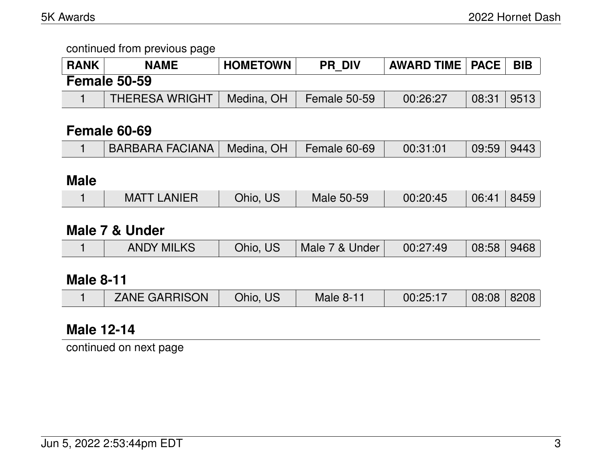continued from previous page

| <b>RANK</b> | <b>NAME</b>           | <b>HOMETOWN</b> | <b>PR DIV</b> | <b>AWARD TIME   PACE  </b> |              | <b>BIB</b> |
|-------------|-----------------------|-----------------|---------------|----------------------------|--------------|------------|
|             | <b>Female 50-59</b>   |                 |               |                            |              |            |
|             | <b>THERESA WRIGHT</b> | Medina, OH      | Female 50-59  | 00:26:27                   | 08:31   9513 |            |

### **Female 60-69**

|  | BARBARA FACIANA   Medina, OH   Female 60-69 |  |  | 00:31:01 | 09:59 9443 |  |
|--|---------------------------------------------|--|--|----------|------------|--|
|--|---------------------------------------------|--|--|----------|------------|--|

# **Male**

|  | ANIER<br>MAT | $J$ hio, $\sqrt{2}$<br>U5 | Male 50-59 | 00:20:45 | 06:4' | $\sqrt{2}$ |
|--|--------------|---------------------------|------------|----------|-------|------------|
|--|--------------|---------------------------|------------|----------|-------|------------|

### **Male 7 & Under**

|  | <b>ANDY MILKS</b> | Ohio,<br>US. | Male<br>&<br>/ Under | 7.49<br>00:27 | 08:58 | 9468 |
|--|-------------------|--------------|----------------------|---------------|-------|------|
|--|-------------------|--------------|----------------------|---------------|-------|------|

# **Male 8-11**

| <b>ZANE GARRISON</b><br>00:25:17<br>Ohio, US⊺<br><b>Male 8-11</b> |  |  |  |  |  | 08:08   8208 |  |
|-------------------------------------------------------------------|--|--|--|--|--|--------------|--|
|-------------------------------------------------------------------|--|--|--|--|--|--------------|--|

# **Male 12-14**

continued on next page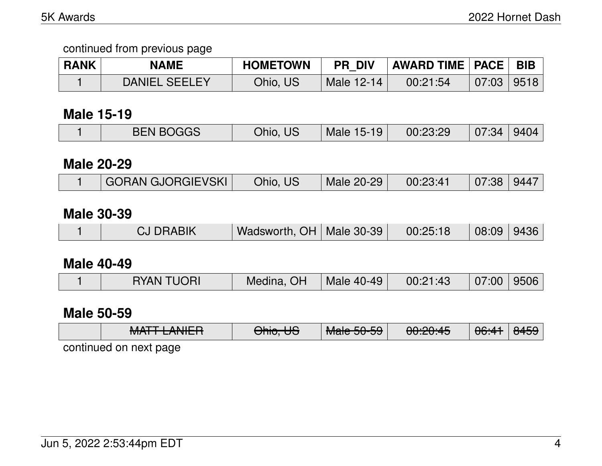### continued from previous page

| <b>RANK</b> | <b>NAME</b>          | <b>HOMETOWN</b> | <b>PR DIV</b> | AWARD TIME   PACE |                | <b>BIB</b> |
|-------------|----------------------|-----------------|---------------|-------------------|----------------|------------|
|             | <b>DANIEL SEELEY</b> | Ohio, US        | Male 12-14    | 00:21:54          | $07:03$   9518 |            |

### **Male 15-19**

| <b>BEN BOGGS</b><br>Ohio, US<br>Male 15-19<br>00:23:29<br>$07:34$   9404 |
|--------------------------------------------------------------------------|
|--------------------------------------------------------------------------|

### **Male 20-29**

### **Male 30-39**

|  | <b>CJ DRABIK</b> | Wadsworth, OH   Male 30-39 |  | 00:25:18 | 08:09 9436 |  |
|--|------------------|----------------------------|--|----------|------------|--|
|--|------------------|----------------------------|--|----------|------------|--|

### **Male 40-49**

|  | <b>RYAN TUORI</b> | Medina, OH | Male 40-49 | 00:21:43 | $07:00$   9506 |  |
|--|-------------------|------------|------------|----------|----------------|--|
|--|-------------------|------------|------------|----------|----------------|--|

### **Male 50-59**

| NATTI ANIIED<br><del>MALL LANLIT</del> | $\bigcap$ $\bigcup$ $\bigcap$<br><del>UMU. UU</del> | $M = FQ FQ$<br><b>Malc JU-JJ</b> | 0.00.4E<br><del>uu.zu.4J</del> | 06:41 | $\Omega$<br>ਾਜਹਰ । |
|----------------------------------------|-----------------------------------------------------|----------------------------------|--------------------------------|-------|--------------------|
| continued on next page                 |                                                     |                                  |                                |       |                    |